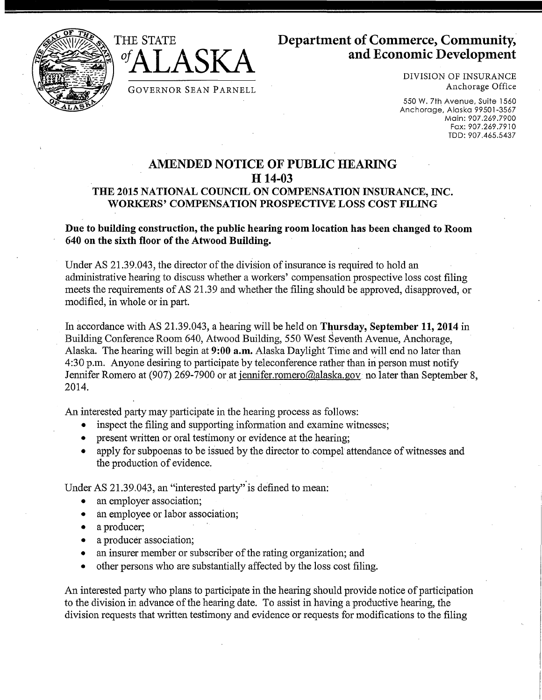



DIVISION OF INSURANCE Anchorage Office

550 W. 7th Avenue, Suite 1560 Anchorage, Alaska 99501-3567 Main: 907.269.7900 Fax: 907 .269 .7910 TDD: 907.465.5437

## **AMENDED NOTICE OF PUBLIC HEARING H 14-03 THE 2015 NATIONAL COUNCIL ON COMPENSATION INSURANCE,** INC. **WORKERS' COMPENSATION PROSPECTIVE LOSS COST FILING**

## **Due to building construction, the public hearing room location has been changed to Room 640 on the sixth floor of the Atwood Building.**

Under AS 21.39.043, the director of the division of insurance is required to hold an administrative hearing to discuss whether a workers' compensation prospective loss cost filing meets the requirements of AS 21.39 and whether the filing should be approved, disapproved, or modified, in whole or in part.

In accordance with AS 21.39.043, a hearing will be held on Thursday, September 11, 2014 in Building Conference Room 640, Atwood Building, 550 West Seventh Avenue, Anchorage, Alaska. The hearing will begin at **9:00 a.m.** Alaska Daylight Time and will end no later than 4:30 p.m. Anyone desiring to participate by teleconference rather than in person must notify Jennifer Romero at (907) 269-7900 or at jennifer.romero@alaska.gov no later than September 8, 2014.

An interested party may participate in the hearing process as follows:

- inspect the filing and supporting information and examine witnesses;
- present written or oral testimony or evidence at the hearing;
- apply for subpoenas to be issued by the director to compel attendance of witnesses and the production of evidence.

Under AS 21.39.043, an "interested party" is defined to mean:

GOVERNOR SEAN PARNELL

- an employer association;
- an employee or labor association;
- a producer;
- a producer association;
- an insurer member or subscriber of the rating organization; and
- other persons who are substantially affected by the loss cost filing.

An interested party who plans to participate in the hearing should provide notice of participation to the division in advance of the hearing date. To assist in having a productive hearing, the division requests that written testimony and evidence or requests for modifications to the filing